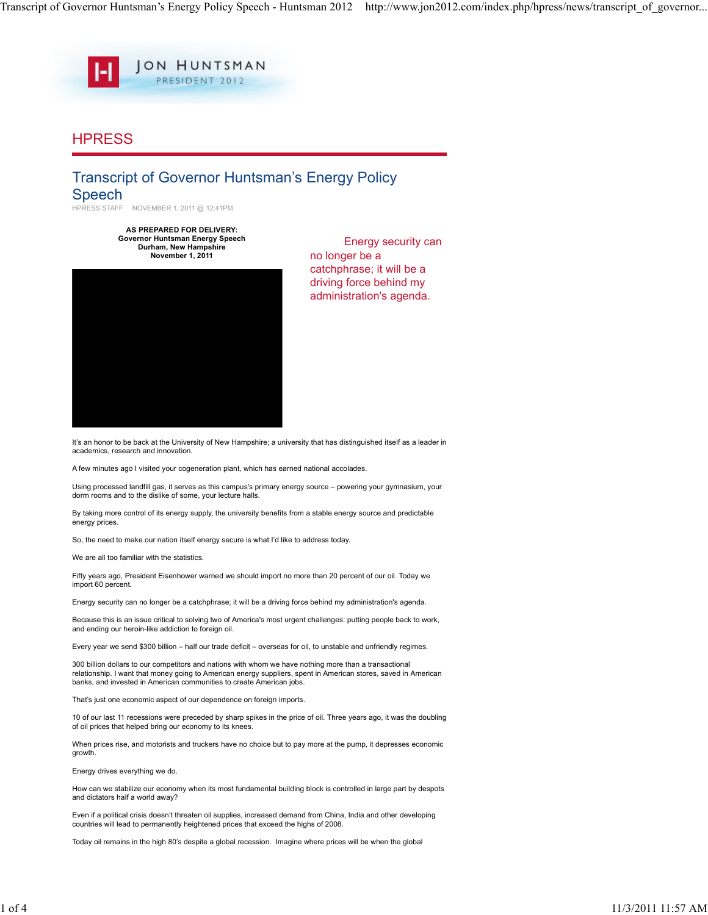

## **HPRESS**

## Transcript of Governor Huntsman's Energy Policy

Speech

HPRESS STAFF NOVEMBER 1, 2011 @ 12:41PM

AS PREPARED FOR DELIVERY: Governor Huntsman Energy Speech Durham, New Hampshire November 1, 2011

Energy security can no longer be a catchphrase; it will be a driving force behind my administration's agenda.

It's an honor to be back at the University of New Hampshire; a university that has distinguished itself as a leader in academics, research and innovation.

A few minutes ago I visited your cogeneration plant, which has earned national accolades.

Using processed landfill gas, it serves as this campus's primary energy source – powering your gymnasium, your dorm rooms and to the dislike of some, your lecture halls.

By taking more control of its energy supply, the university benefits from a stable energy source and predictable energy prices.

So, the need to make our nation itself energy secure is what I'd like to address today.

We are all too familiar with the statistics.

Fifty years ago, President Eisenhower warned we should import no more than 20 percent of our oil. Today we import 60 percent.

Energy security can no longer be a catchphrase; it will be a driving force behind my administration's agenda.

Because this is an issue critical to solving two of America's most urgent challenges: putting people back to work, and ending our heroin-like addiction to foreign oil.

Every year we send \$300 billion – half our trade deficit – overseas for oil, to unstable and unfriendly regimes.

300 billion dollars to our competitors and nations with whom we have nothing more than a transactional relationship. I want that money going to American energy suppliers, spent in American stores, saved in American banks, and invested in American communities to create American jobs.

That's just one economic aspect of our dependence on foreign imports.

10 of our last 11 recessions were preceded by sharp spikes in the price of oil. Three years ago, it was the doubling of oil prices that helped bring our economy to its knees.

When prices rise, and motorists and truckers have no choice but to pay more at the pump, it depresses economic growth.

Energy drives everything we do.

How can we stabilize our economy when its most fundamental building block is controlled in large part by despots and dictators half a world away?

Even if a political crisis doesn't threaten oil supplies, increased demand from China, India and other developing countries will lead to permanently heightened prices that exceed the highs of 2008.

Today oil remains in the high 80's despite a global recession. Imagine where prices will be when the global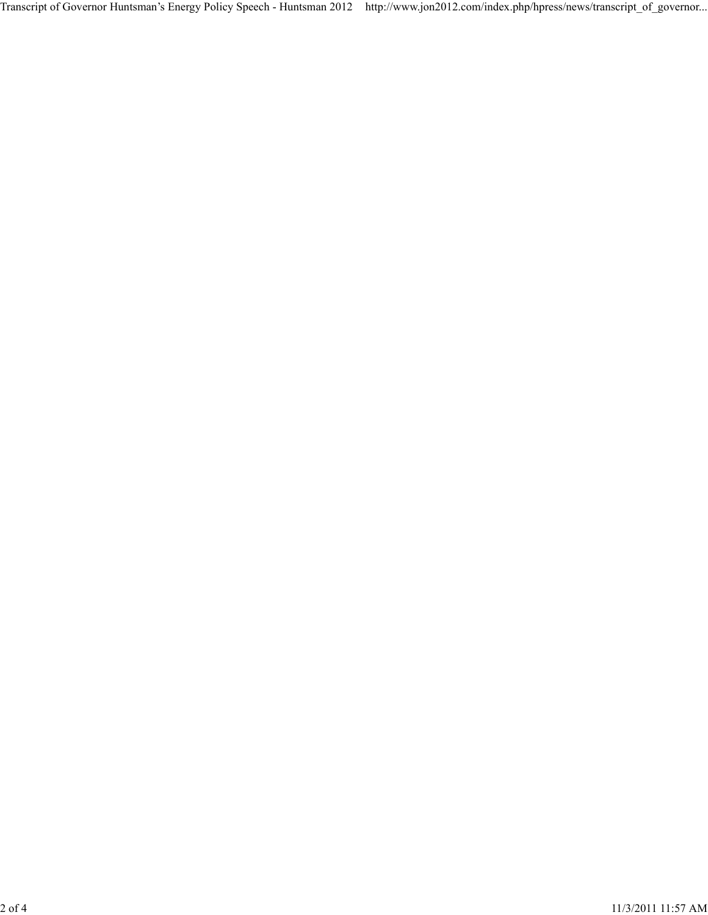Transcript of Governor Huntsman's Energy Policy Speech - Huntsman 2012 http://www.jon2012.com/index.php/hpress/news/transcript\_of\_governor...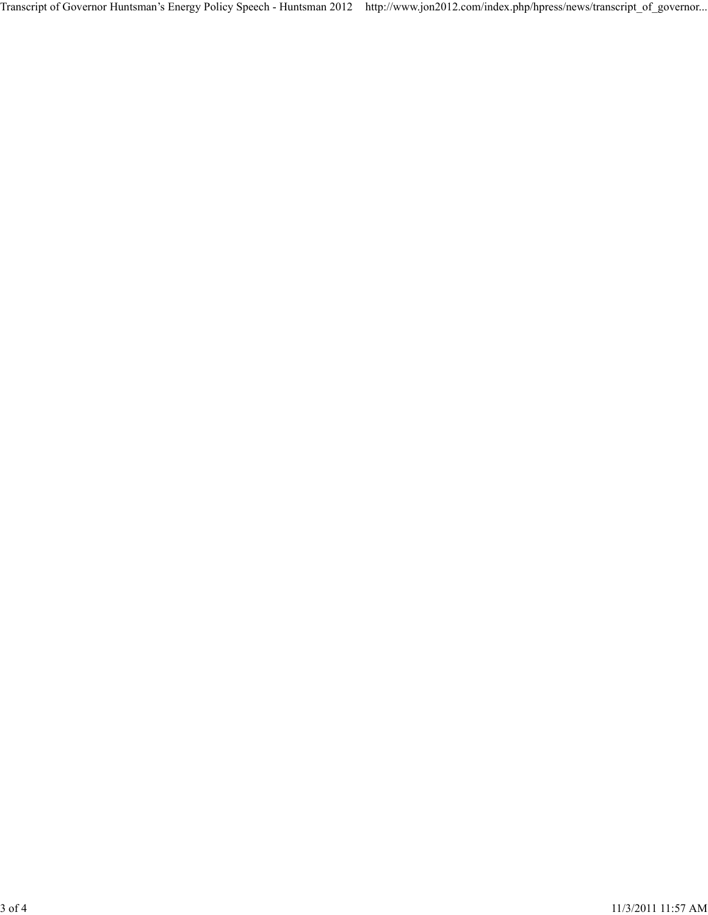Transcript of Governor Huntsman's Energy Policy Speech - Huntsman 2012 http://www.jon2012.com/index.php/hpress/news/transcript\_of\_governor...